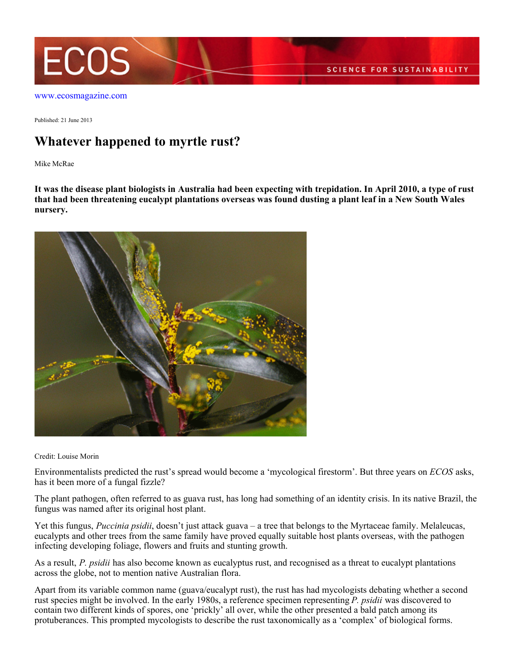

[www.ecosmagazine.com](http://www.ecosmagazine.com)

Published: 21 June 2013

## **Whatever happened to myrtle rust?**

Mike McRae

**It was the disease plant biologists in Australia had been expecting with trepidation. In April 2010, a type of rust that had been threatening eucalypt plantations overseas was found dusting a plant leaf in a New South Wales nursery.**



Credit: Louise Morin

Environmentalists predicted the rust's spread would become a 'mycological firestorm'. But three years on *ECOS* asks, has it been more of a fungal fizzle?

The plant pathogen, often referred to as guava rust, has long had something of an identity crisis. In its native Brazil, the fungus was named after its original host plant.

Yet this fungus, *Puccinia psidii*, doesn't just attack guava – a tree that belongs to the Myrtaceae family. Melaleucas, eucalypts and other trees from the same family have proved equally suitable host plants overseas, with the pathogen infecting developing foliage, flowers and fruits and stunting growth.

As a result, *P. psidii* has also become known as eucalyptus rust, and recognised as a threat to eucalypt plantations across the globe, not to mention native Australian flora.

Apart from its variable common name (guava/eucalypt rust), the rust has had mycologists debating whether a second rust species might be involved. In the early 1980s, a reference specimen representing *P. psidii* was discovered to contain two different kinds of spores, one 'prickly' all over, while the other presented a bald patch among its protuberances. This prompted mycologists to describe the rust taxonomically as a 'complex' of biological forms.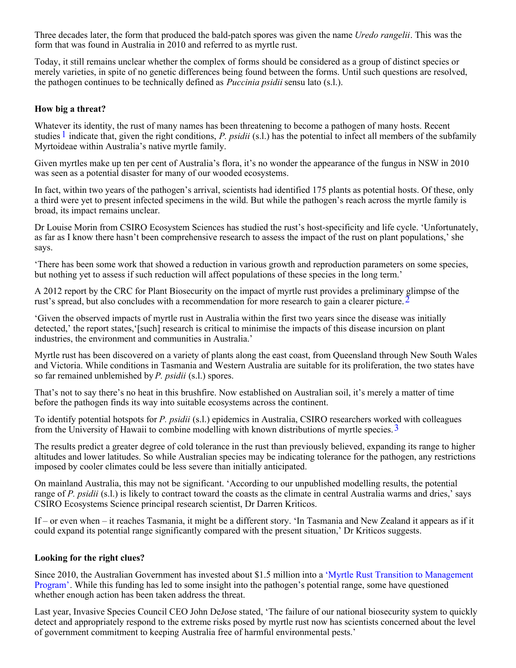Three decades later, the form that produced the bald-patch spores was given the name *Uredo rangelii*. This was the form that was found in Australia in 2010 and referred to as myrtle rust.

Today, it still remains unclear whether the complex of forms should be considered as a group of distinct species or merely varieties, in spite of no genetic differences being found between the forms. Until such questions are resolved, the pathogen continues to be technically defined as *Puccinia psidii* sensu lato (s.l.).

## **How big a threat?**

Whatever its identity, the rust of many names has been threatening to become a pathogen of many hosts. Recent studies 1 indicate that, given the right conditions, *P. psidii* (s.l.) has the potential to infect all members of the subfamily Myrtoideae within Australia's native myrtle family.

Given myrtles make up ten per cent of Australia's flora, it's no wonder the appearance of the fungus in NSW in 2010 was seen as a potential disaster for many of our wooded ecosystems.

In fact, within two years of the pathogen's arrival, scientists had identified 175 plants as potential hosts. Of these, only a third were yet to present infected specimens in the wild. But while the pathogen's reach across the myrtle family is broad, its impact remains unclear.

Dr Louise Morin from CSIRO Ecosystem Sciences has studied the rust's host-specificity and life cycle. 'Unfortunately, as far as I know there hasn't been comprehensive research to assess the impact of the rust on plant populations,' she says.

'There has been some work that showed a reduction in various growth and reproduction parameters on some species, but nothing yet to assess if such reduction will affect populations of these species in the long term.'

A 2012 report by the CRC for Plant Biosecurity on the impact of myrtle rust provides a preliminary glimpse of the rust's spread, but also concludes with a recommendation for more research to gain a clearer picture. <sup>2</sup>

'Given the observed impacts of myrtle rust in Australia within the first two years since the disease was initially detected,' the report states,'[such] research is critical to minimise the impacts of this disease incursion on plant industries, the environment and communities in Australia.'

Myrtle rust has been discovered on a variety of plants along the east coast, from Queensland through New South Wales and Victoria. While conditions in Tasmania and Western Australia are suitable for its proliferation, the two states have so far remained unblemished by *P. psidii* (s.l.) spores.

That's not to say there's no heat in this brushfire. Now established on Australian soil, it's merely a matter of time before the pathogen finds its way into suitable ecosystems across the continent.

To identify potential hotspots for *P. psidii* (s.l.) epidemics in Australia, CSIRO researchers worked with colleagues from the University of Hawaii to combine modelling with known distributions of myrtle species.3

The results predict a greater degree of cold tolerance in the rust than previously believed, expanding its range to higher altitudes and lower latitudes. So while Australian species may be indicating tolerance for the pathogen, any restrictions imposed by cooler climates could be less severe than initially anticipated.

On mainland Australia, this may not be significant. 'According to our unpublished modelling results, the potential range of *P. psidii* (s.l.) is likely to contract toward the coasts as the climate in central Australia warms and dries,' says CSIRO Ecosystems Science principal research scientist, Dr Darren Kriticos.

If – or even when – it reaches Tasmania, it might be a different story. 'In Tasmania and New Zealand it appears as if it could expand its potential range significantly compared with the present situation,' Dr Kriticos suggests.

## **Looking for the right clues?**

Since 2010, the Australian Government has invested about \$1.5 million into a ['Myrtle Rust Transition to Management](http://myrtlerust.net.au/) [Program'](http://myrtlerust.net.au/). While this funding has led to some insight into the pathogen's potential range, some have questioned whether enough action has been taken address the threat.

Last year, Invasive Species Council CEO John DeJose stated, 'The failure of our national biosecurity system to quickly detect and appropriately respond to the extreme risks posed by myrtle rust now has scientists concerned about the level of government commitment to keeping Australia free of harmful environmental pests.'